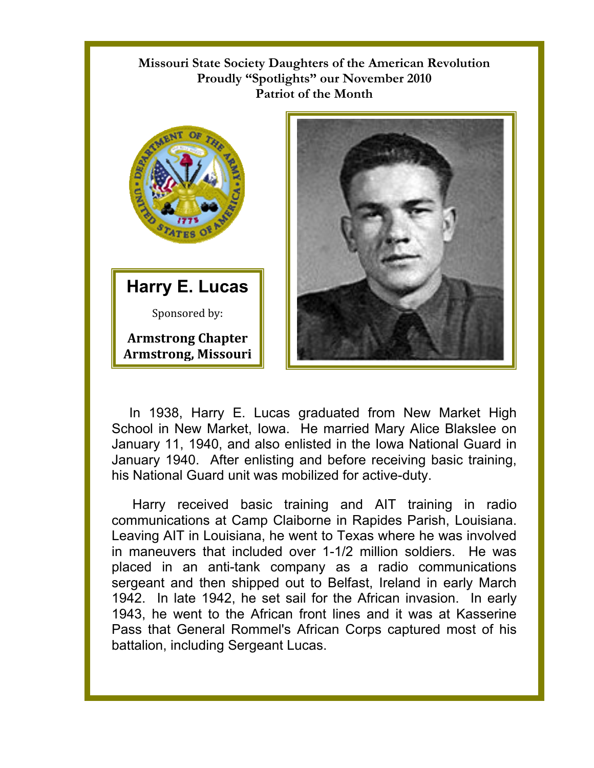## **Missouri State Society Daughters of the American Revolution Proudly "Spotlights" our November 2010 Patriot of the Month**



**Harry E. Lucas**  Sponsored by: **Armstrong Chapter** 

**Armstrong, Missouri**



In 1938, Harry E. Lucas graduated from New Market High School in New Market, Iowa. He married Mary Alice Blakslee on January 11, 1940, and also enlisted in the Iowa National Guard in January 1940. After enlisting and before receiving basic training, his National Guard unit was mobilized for active-duty.

Harry received basic training and AIT training in radio communications at Camp Claiborne in Rapides Parish, Louisiana. Leaving AIT in Louisiana, he went to Texas where he was involved in maneuvers that included over 1-1/2 million soldiers. He was placed in an anti-tank company as a radio communications sergeant and then shipped out to Belfast, Ireland in early March 1942. In late 1942, he set sail for the African invasion. In early 1943, he went to the African front lines and it was at Kasserine Pass that General Rommel's African Corps captured most of his battalion, including Sergeant Lucas.